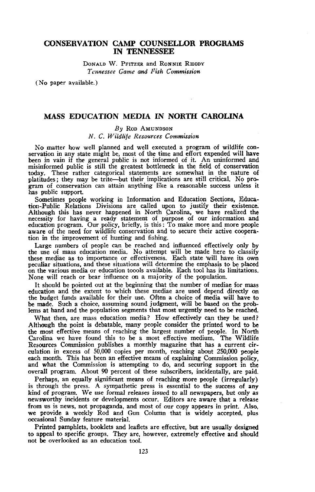## **CONSERVATION CAMP COUNSELLOR PROGRAMS IN TENNESSEE**

DONALD W. PFITZER and RONNIE RHODY *Tennessee Game and Fish Commission*

(No paper available.)

### **MASS EDUCATION MEDIA IN NORTH CAROLINA**

### *By* ROD AMUNDSON *N.* C. *Wildlife Resources Commission*

No matter how well planned and well executed <sup>a</sup> program of wildlife con- servation in any state might be, most of the time and effort expended will have been in vain if the general public is not informed of it. An uninformed and misinformed public is still the greatest bottleneck in the field of conservation today. These rather categorical statements are somewhat in the nature of platitudes; they may be trite-but their implications are still critical. No program of conservation can attain anything like a reasonable success unless it has public support.

Sometimes people working in Information and Education Sections, Education-Public Relations Divisions are called upon to justify their existence. Although this has never happened in North Carolina, we have realized the necessity for having a ready statement of purpose of our information and education program. Our policy, briefly, is this: To make more and more people aware of the need for wildlife conservation and to secure their active cooperation in the improvement of hunting and fishing.

Large numbers of people can be reached and influenced effectively only by the use of mass education media. No attempt will be made here to classify these mediae as to importance or effectiveness. Each state will have its own peculiar situations, and these situations will determine the emphasis to be placed<br>on the various media or education toools available. Each tool has its limitations. None will reach or bear influence on a majority of the population.

It should be pointed out at the beginning that the number of mediae for mass<br>education and the extent to which these mediae are used depend directly on<br>the budget funds available for their use. Often a choice of media will be made. Such a choice, assuming sound judgment, will be based on the problems at hand and the population segments that most urgently need to be reached.

What then, are mass education media? How effectively can they be used? Although the point is debatable, many people consider the printed word to be the most effective means of reaching the largest number of people. In North Carolina we have found this to be a most effective medium. The Wildlife Resources Commission publishes a monthly magazine that has a current circulation in excess of 50,000 copies per month, reaching about 250,000 people each month. This has been an effective means of explaining Commission policy, and what the Commission is attempting to do, and securing support in the overall program. About 90 percent of these subscribers, incidentally, are paid.

Perhaps, an equally significant means of reaching more people (irregularly) is through the press. A sympathetic press is essential to the success of any kind of program. We use formal releases issued to all newspapers, but only as newsworthy incidents or developments occur. Editors are aware that a release from us is news, not propaganda, and most of our copy appears in print. Also, we provide a weekly Rod and Gun Column that is widely accepted, plus occasional Sunday feature material.

Printed pamphlets, booklets and leaflets are effective, but are usually designed to appeal to specific groups. They are, however, extremely effective and should not be overlooked as an education tool.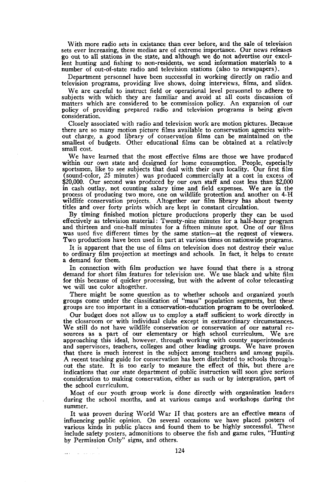With more radio sets in existance than ever before, and the sale of television sets ever increasing, these mediae are of extreme importance. Our news releases go out to all stations in the state, and although we do not advertise our excellent hunting and fishing to non-residents, we send information materials to <sup>a</sup> number of out-of-state radio and television stations (also to newspapers).

Department personnel have been successful in working directly on radio and television programs, providing live shows, doing interviews, films, and slides.

Weare careful to instruct field or operational level personnel to adhere to subjects with which they are familiar and avoid at all costs discussion of matters which are considered to be commission policy. An expansion of cur policy of providing prepared radio and television programs is being given consideration.

Closely associated with radio and television work are motion pictures. Because there are so many motion picture films available to conservation agencies without charge, a good library of conservation films can be maintained on the smallest of budgets. Other educational films can be obtained at a relatively small cost.

We have learned that the most effective films are those we have produced within our own state and designed for home consumption. People, especially sportsmen, like to see subjects that deal with their own locality. Our first film (sound-color, 25 minutes) was produced commercially at a cost in excess of \$20,000. Our second was produced by our own staff and cost less than \$2,000 in cash outlay, not counting salary time and field expenses. We are in the process of producing two more, one on wildlife protection and another on 4-H wildlife conservation projects. Altogether our film library has about twenty titles and over forty prints which are kept in constant circulation.

By timing finished motion picture productions properly they can be used effectively as television material; Twenty-nine minutes for a half-hour program was used five different times by the same station--at the request of viewers. Two productions have been used in part at various times on nationwide programs.

It is apparent that the use of films on television does not destroy their value to ordinary film projection at meetings and schools. In fact, it helps to create <sup>a</sup> demand for them.

In connection with film production we have found that there is a strong demand for short film features for television use. We use black and white film for this because of quicker processing, but with the advent of color telecasting we will use color altogether.

There might be some question as to whether schools and organized youth groups come under the classification of "mass" population segments, but these groups are too important in a conservation-education program to be overlooked.

Our budget does not allow us to employ a staff sufficient to work directly in the clossroom or with individual clubs except in extraordinary circumstances.<br>We still do not have wildlife conservation or conservation of our natural resources as a part of our elementary or high school curriculum. We are approaching this ideal, however, through working with county superintendents and supervisors, teachers, colleges and other leading groups. We have proven that there is much interest in the subject among teachers and among pupils. A recent teaching guide for conservation has been distributed to schools through-<br>out the state. It is too early to measure the effect of this, but there are indications that our state department of public instruction will soon give serious consideration to making conservation, either as such or by intergration, part of the school curriculum.

Most of our youth group work is done directly with organization leaders during the school months, and at various camps and workshops during the summer.

It was proven during World War II that posters are an effective means of influencing public opinion. On several occasions we have placed posters of various kinds in public places and found them to be highly successful. These include safety posters, admonitions to observe the fish and game rules, "Hunting by Permission Only" signs, and others.

**Carl Carl Carl**